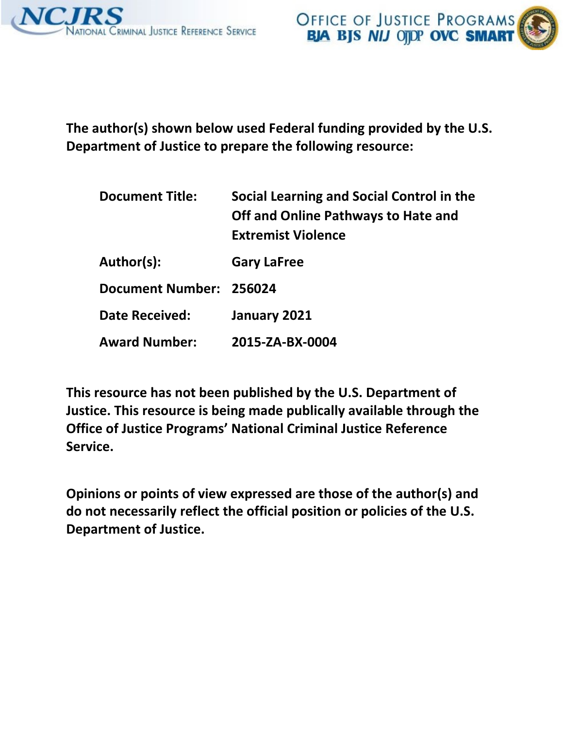



**The author(s) shown below used Federal funding provided by the U.S. Department of Justice to prepare the following resource:** 

| <b>Document Title:</b>  | Social Learning and Social Control in the<br>Off and Online Pathways to Hate and<br><b>Extremist Violence</b> |
|-------------------------|---------------------------------------------------------------------------------------------------------------|
| Author(s):              | <b>Gary LaFree</b>                                                                                            |
| Document Number: 256024 |                                                                                                               |
| <b>Date Received:</b>   | January 2021                                                                                                  |
| <b>Award Number:</b>    | 2015-ZA-BX-0004                                                                                               |

**This resource has not been published by the U.S. Department of Justice. This resource is being made publically available through the Office of Justice Programs' National Criminal Justice Reference Service.** 

**Opinions or points of view expressed are those of the author(s) and do not necessarily reflect the official position or policies of the U.S. Department of Justice.**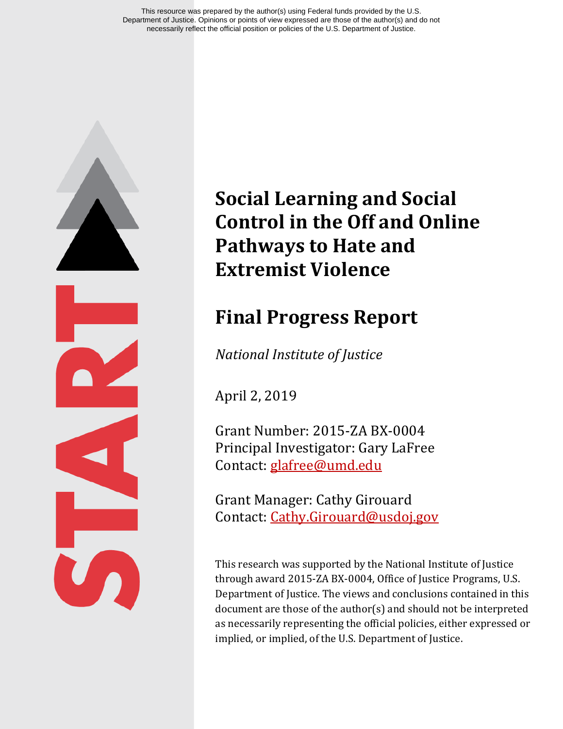This resource was prepared by the author(s) using Federal funds provided by the U.S. Department of Justice. Opinions or points of view expressed are those of the author(s) and do not necessarily reflect the official position or policies of the U.S. Department of Justice.

# **Social Learning and Social Control in the Off and Online Pathways to Hate and Extremist Violence**

# **Final Progress Report**

*National Institute of Justice*

April 2, 2019

Grant Number: 2015-ZA BX-0004 Principal Investigator: Gary LaFree Contact: [glafree@umd.edu](mailto:glafree@umd.edu)

Grant Manager: Cathy Girouard Contact: [Cathy.Girouard@usdoj.gov](mailto:Cathy.Girouard@usdoj.gov)

This research was supported by the National Institute of Justice through award 2015-ZA BX-0004, Office of Justice Programs, U.S. Department of Justice. The views and conclusions contained in this document are those of the author(s) and should not be interpreted as necessarily representing the official policies, either expressed or implied, or implied, of the U.S. Department of Justice.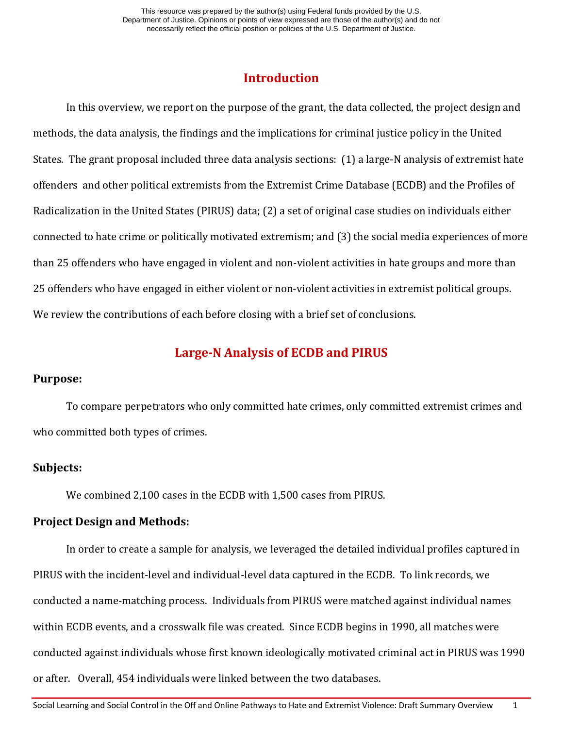# **Introduction**

In this overview, we report on the purpose of the grant, the data collected, the project design and methods, the data analysis, the findings and the implications for criminal justice policy in the United States. The grant proposal included three data analysis sections: (1) a large-N analysis of extremist hate offenders and other political extremists from the Extremist Crime Database (ECDB) and the Profiles of Radicalization in the United States (PIRUS) data; (2) a set of original case studies on individuals either connected to hate crime or politically motivated extremism; and (3) the social media experiences of more than 25 offenders who have engaged in violent and non-violent activities in hate groups and more than 25 offenders who have engaged in either violent or non-violent activities in extremist political groups. We review the contributions of each before closing with a brief set of conclusions.

# **Large-N Analysis of ECDB and PIRUS**

## **Purpose:**

To compare perpetrators who only committed hate crimes, only committed extremist crimes and who committed both types of crimes.

## **Subjects:**

We combined 2,100 cases in the ECDB with 1,500 cases from PIRUS.

## **Project Design and Methods:**

In order to create a sample for analysis, we leveraged the detailed individual profiles captured in PIRUS with the incident-level and individual-level data captured in the ECDB. To link records, we conducted a name-matching process. Individuals from PIRUS were matched against individual names within ECDB events, and a crosswalk file was created. Since ECDB begins in 1990, all matches were conducted against individuals whose first known ideologically motivated criminal act in PIRUS was 1990 or after. Overall, 454 individuals were linked between the two databases.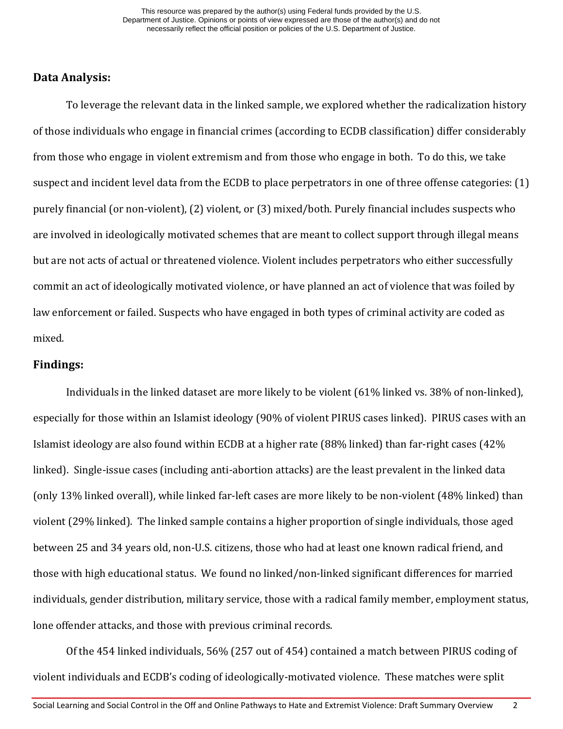## **Data Analysis:**

To leverage the relevant data in the linked sample, we explored whether the radicalization history of those individuals who engage in financial crimes (according to ECDB classification) differ considerably from those who engage in violent extremism and from those who engage in both. To do this, we take suspect and incident level data from the ECDB to place perpetrators in one of three offense categories: (1) purely financial (or non-violent), (2) violent, or (3) mixed/both. Purely financial includes suspects who are involved in ideologically motivated schemes that are meant to collect support through illegal means but are not acts of actual or threatened violence. Violent includes perpetrators who either successfully commit an act of ideologically motivated violence, or have planned an act of violence that was foiled by law enforcement or failed. Suspects who have engaged in both types of criminal activity are coded as mixed.

#### **Findings:**

Individuals in the linked dataset are more likely to be violent (61% linked vs. 38% of non-linked), especially for those within an Islamist ideology (90% of violent PIRUS cases linked). PIRUS cases with an Islamist ideology are also found within ECDB at a higher rate (88% linked) than far-right cases (42% linked). Single-issue cases (including anti-abortion attacks) are the least prevalent in the linked data (only 13% linked overall), while linked far-left cases are more likely to be non-violent (48% linked) than violent (29% linked). The linked sample contains a higher proportion of single individuals, those aged between 25 and 34 years old, non-U.S. citizens, those who had at least one known radical friend, and those with high educational status. We found no linked/non-linked significant differences for married individuals, gender distribution, military service, those with a radical family member, employment status, lone offender attacks, and those with previous criminal records.

Of the 454 linked individuals, 56% (257 out of 454) contained a match between PIRUS coding of violent individuals and ECDB's coding of ideologically-motivated violence. These matches were split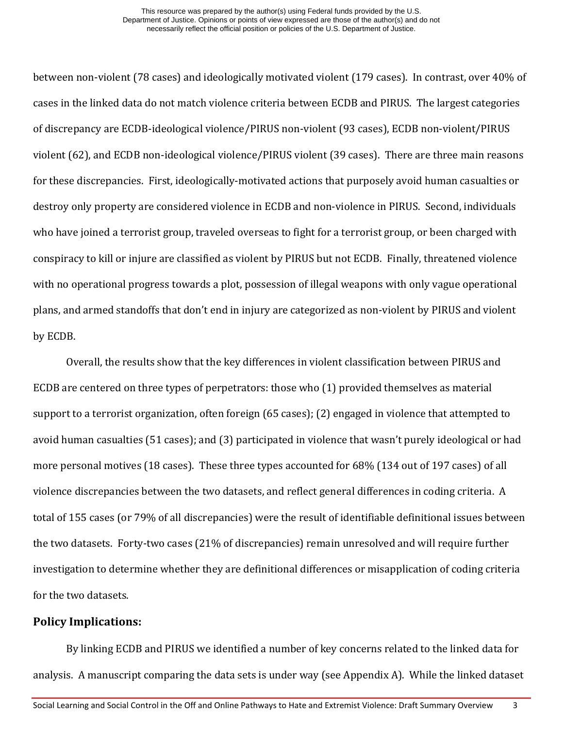between non-violent (78 cases) and ideologically motivated violent (179 cases). In contrast, over 40% of cases in the linked data do not match violence criteria between ECDB and PIRUS. The largest categories of discrepancy are ECDB-ideological violence/PIRUS non-violent (93 cases), ECDB non-violent/PIRUS violent (62), and ECDB non-ideological violence/PIRUS violent (39 cases). There are three main reasons for these discrepancies. First, ideologically-motivated actions that purposely avoid human casualties or destroy only property are considered violence in ECDB and non-violence in PIRUS. Second, individuals who have joined a terrorist group, traveled overseas to fight for a terrorist group, or been charged with conspiracy to kill or injure are classified as violent by PIRUS but not ECDB. Finally, threatened violence with no operational progress towards a plot, possession of illegal weapons with only vague operational plans, and armed standoffs that don't end in injury are categorized as non-violent by PIRUS and violent by ECDB.

Overall, the results show that the key differences in violent classification between PIRUS and ECDB are centered on three types of perpetrators: those who (1) provided themselves as material support to a terrorist organization, often foreign (65 cases); (2) engaged in violence that attempted to avoid human casualties (51 cases); and (3) participated in violence that wasn't purely ideological or had more personal motives (18 cases). These three types accounted for 68% (134 out of 197 cases) of all violence discrepancies between the two datasets, and reflect general differences in coding criteria. A total of 155 cases (or 79% of all discrepancies) were the result of identifiable definitional issues between the two datasets. Forty-two cases (21% of discrepancies) remain unresolved and will require further investigation to determine whether they are definitional differences or misapplication of coding criteria for the two datasets.

#### **Policy Implications:**

By linking ECDB and PIRUS we identified a number of key concerns related to the linked data for analysis. A manuscript comparing the data sets is under way (see Appendix A). While the linked dataset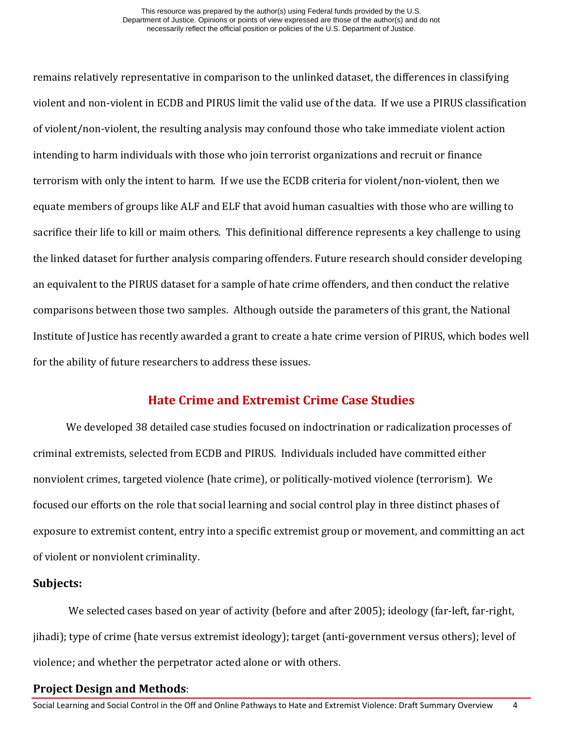remains relatively representative in comparison to the unlinked dataset, the differences in classifying violent and non-violent in ECDB and PIRUS limit the valid use of the data. If we use a PIRUS classification of violent/non-violent, the resulting analysis may confound those who take immediate violent action intending to harm individuals with those who join terrorist organizations and recruit or finance terrorism with only the intent to harm. If we use the ECDB criteria for violent/non-violent, then we equate members of groups like ALF and ELF that avoid human casualties with those who are willing to sacrifice their life to kill or maim others. This definitional difference represents a key challenge to using the linked dataset for further analysis comparing offenders. Future research should consider developing an equivalent to the PIRUS dataset for a sample of hate crime offenders, and then conduct the relative comparisons between those two samples. Although outside the parameters of this grant, the National Institute of Justice has recently awarded a grant to create a hate crime version of PIRUS, which bodes well for the ability of future researchers to address these issues.

# **Hate Crime and Extremist Crime Case Studies**

We developed 38 detailed case studies focused on indoctrination or radicalization processes of criminal extremists, selected from ECDB and PIRUS. Individuals included have committed either nonviolent crimes, targeted violence (hate crime), or politically-motived violence (terrorism). We focused our efforts on the role that social learning and social control play in three distinct phases of exposure to extremist content, entry into a specific extremist group or movement, and committing an act of violent or nonviolent criminality.

#### **Subjects:**

We selected cases based on year of activity (before and after 2005); ideology (far-left, far-right, jihadi); type of crime (hate versus extremist ideology); target (anti-government versus others); level of violence; and whether the perpetrator acted alone or with others.

#### **Project Design and Methods**: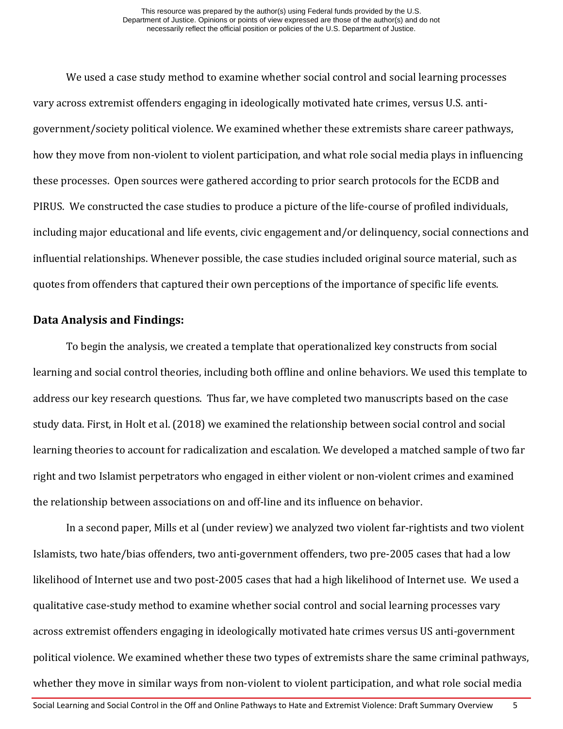We used a case study method to examine whether social control and social learning processes vary across extremist offenders engaging in ideologically motivated hate crimes, versus U.S. antigovernment/society political violence. We examined whether these extremists share career pathways, how they move from non-violent to violent participation, and what role social media plays in influencing these processes. Open sources were gathered according to prior search protocols for the ECDB and PIRUS. We constructed the case studies to produce a picture of the life-course of profiled individuals, including major educational and life events, civic engagement and/or delinquency, social connections and influential relationships. Whenever possible, the case studies included original source material, such as quotes from offenders that captured their own perceptions of the importance of specific life events.

#### **Data Analysis and Findings:**

To begin the analysis, we created a template that operationalized key constructs from social learning and social control theories, including both offline and online behaviors. We used this template to address our key research questions. Thus far, we have completed two manuscripts based on the case study data. First, in Holt et al. (2018) we examined the relationship between social control and social learning theories to account for radicalization and escalation. We developed a matched sample of two far right and two Islamist perpetrators who engaged in either violent or non-violent crimes and examined the relationship between associations on and off-line and its influence on behavior.

In a second paper, Mills et al (under review) we analyzed two violent far-rightists and two violent Islamists, two hate/bias offenders, two anti-government offenders, two pre-2005 cases that had a low likelihood of Internet use and two post-2005 cases that had a high likelihood of Internet use. We used a qualitative case-study method to examine whether social control and social learning processes vary across extremist offenders engaging in ideologically motivated hate crimes versus US anti-government political violence. We examined whether these two types of extremists share the same criminal pathways, whether they move in similar ways from non-violent to violent participation, and what role social media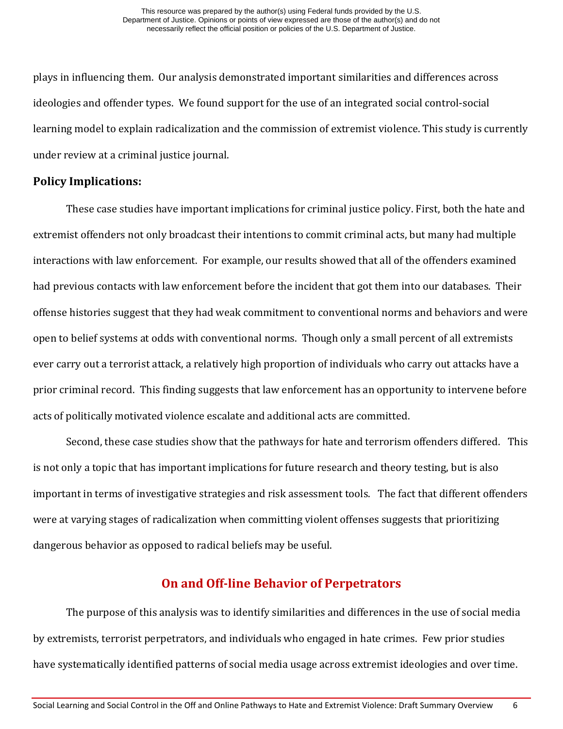plays in influencing them. Our analysis demonstrated important similarities and differences across ideologies and offender types. We found support for the use of an integrated social control-social learning model to explain radicalization and the commission of extremist violence. This study is currently under review at a criminal justice journal.

## **Policy Implications:**

These case studies have important implications for criminal justice policy. First, both the hate and extremist offenders not only broadcast their intentions to commit criminal acts, but many had multiple interactions with law enforcement. For example, our results showed that all of the offenders examined had previous contacts with law enforcement before the incident that got them into our databases. Their offense histories suggest that they had weak commitment to conventional norms and behaviors and were open to belief systems at odds with conventional norms. Though only a small percent of all extremists ever carry out a terrorist attack, a relatively high proportion of individuals who carry out attacks have a prior criminal record. This finding suggests that law enforcement has an opportunity to intervene before acts of politically motivated violence escalate and additional acts are committed.

Second, these case studies show that the pathways for hate and terrorism offenders differed. This is not only a topic that has important implications for future research and theory testing, but is also important in terms of investigative strategies and risk assessment tools. The fact that different offenders were at varying stages of radicalization when committing violent offenses suggests that prioritizing dangerous behavior as opposed to radical beliefs may be useful.

# **On and Off-line Behavior of Perpetrators**

The purpose of this analysis was to identify similarities and differences in the use of social media by extremists, terrorist perpetrators, and individuals who engaged in hate crimes. Few prior studies have systematically identified patterns of social media usage across extremist ideologies and over time.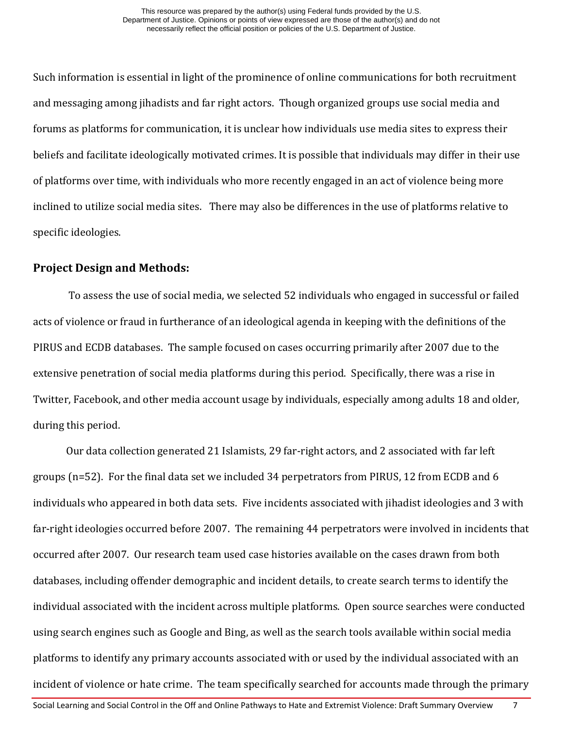Such information is essential in light of the prominence of online communications for both recruitment and messaging among jihadists and far right actors. Though organized groups use social media and forums as platforms for communication, it is unclear how individuals use media sites to express their beliefs and facilitate ideologically motivated crimes. It is possible that individuals may differ in their use of platforms over time, with individuals who more recently engaged in an act of violence being more inclined to utilize social media sites. There may also be differences in the use of platforms relative to specific ideologies.

## **Project Design and Methods:**

To assess the use of social media, we selected 52 individuals who engaged in successful or failed acts of violence or fraud in furtherance of an ideological agenda in keeping with the definitions of the PIRUS and ECDB databases. The sample focused on cases occurring primarily after 2007 due to the extensive penetration of social media platforms during this period. Specifically, there was a rise in Twitter, Facebook, and other media account usage by individuals, especially among adults 18 and older, during this period.

Our data collection generated 21 Islamists, 29 far-right actors, and 2 associated with far left groups (n=52). For the final data set we included 34 perpetrators from PIRUS, 12 from ECDB and 6 individuals who appeared in both data sets. Five incidents associated with jihadist ideologies and 3 with far-right ideologies occurred before 2007. The remaining 44 perpetrators were involved in incidents that occurred after 2007. Our research team used case histories available on the cases drawn from both databases, including offender demographic and incident details, to create search terms to identify the individual associated with the incident across multiple platforms. Open source searches were conducted using search engines such as Google and Bing, as well as the search tools available within social media platforms to identify any primary accounts associated with or used by the individual associated with an incident of violence or hate crime. The team specifically searched for accounts made through the primary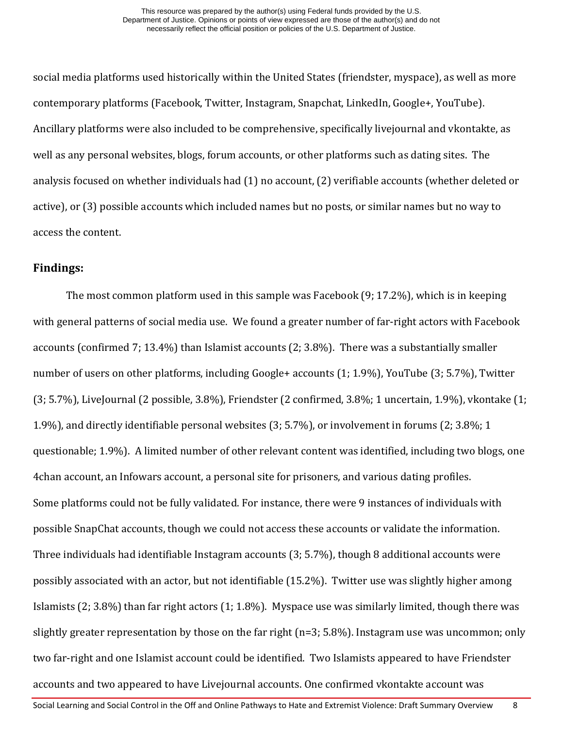social media platforms used historically within the United States (friendster, myspace), as well as more contemporary platforms (Facebook, Twitter, Instagram, Snapchat, LinkedIn, Google+, YouTube). Ancillary platforms were also included to be comprehensive, specifically livejournal and vkontakte, as well as any personal websites, blogs, forum accounts, or other platforms such as dating sites. The analysis focused on whether individuals had (1) no account, (2) verifiable accounts (whether deleted or active), or (3) possible accounts which included names but no posts, or similar names but no way to access the content.

## **Findings:**

The most common platform used in this sample was Facebook (9; 17.2%), which is in keeping with general patterns of social media use. We found a greater number of far-right actors with Facebook accounts (confirmed 7; 13.4%) than Islamist accounts (2; 3.8%). There was a substantially smaller number of users on other platforms, including Google+ accounts (1; 1.9%), YouTube (3; 5.7%), Twitter (3; 5.7%), LiveJournal (2 possible, 3.8%), Friendster (2 confirmed, 3.8%; 1 uncertain, 1.9%), vkontake (1; 1.9%), and directly identifiable personal websites (3; 5.7%), or involvement in forums (2; 3.8%; 1 questionable; 1.9%). A limited number of other relevant content was identified, including two blogs, one 4chan account, an Infowars account, a personal site for prisoners, and various dating profiles. Some platforms could not be fully validated. For instance, there were 9 instances of individuals with possible SnapChat accounts, though we could not access these accounts or validate the information. Three individuals had identifiable Instagram accounts (3; 5.7%), though 8 additional accounts were possibly associated with an actor, but not identifiable (15.2%). Twitter use was slightly higher among Islamists (2; 3.8%) than far right actors (1; 1.8%). Myspace use was similarly limited, though there was slightly greater representation by those on the far right (n=3; 5.8%). Instagram use was uncommon; only two far-right and one Islamist account could be identified. Two Islamists appeared to have Friendster accounts and two appeared to have Livejournal accounts. One confirmed vkontakte account was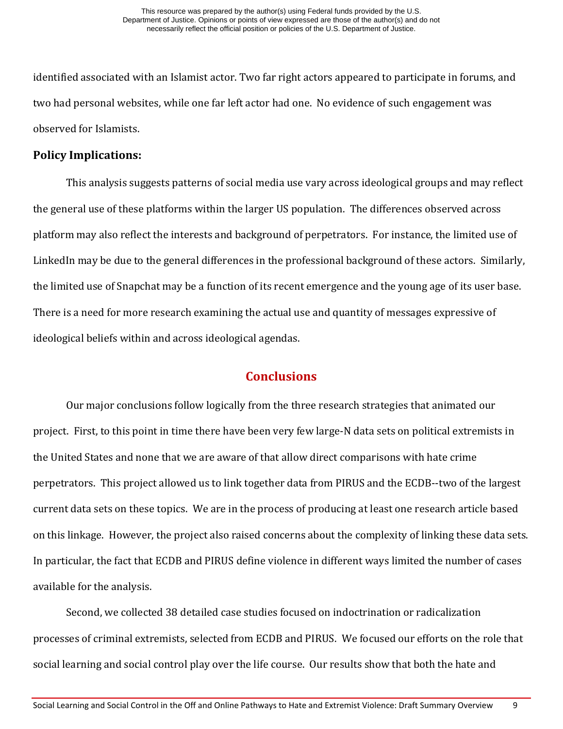identified associated with an Islamist actor. Two far right actors appeared to participate in forums, and two had personal websites, while one far left actor had one. No evidence of such engagement was observed for Islamists.

## **Policy Implications:**

This analysis suggests patterns of social media use vary across ideological groups and may reflect the general use of these platforms within the larger US population. The differences observed across platform may also reflect the interests and background of perpetrators. For instance, the limited use of LinkedIn may be due to the general differences in the professional background of these actors. Similarly, the limited use of Snapchat may be a function of its recent emergence and the young age of its user base. There is a need for more research examining the actual use and quantity of messages expressive of ideological beliefs within and across ideological agendas.

# **Conclusions**

Our major conclusions follow logically from the three research strategies that animated our project. First, to this point in time there have been very few large-N data sets on political extremists in the United States and none that we are aware of that allow direct comparisons with hate crime perpetrators. This project allowed us to link together data from PIRUS and the ECDB--two of the largest current data sets on these topics. We are in the process of producing at least one research article based on this linkage. However, the project also raised concerns about the complexity of linking these data sets. In particular, the fact that ECDB and PIRUS define violence in different ways limited the number of cases available for the analysis.

Second, we collected 38 detailed case studies focused on indoctrination or radicalization processes of criminal extremists, selected from ECDB and PIRUS. We focused our efforts on the role that social learning and social control play over the life course. Our results show that both the hate and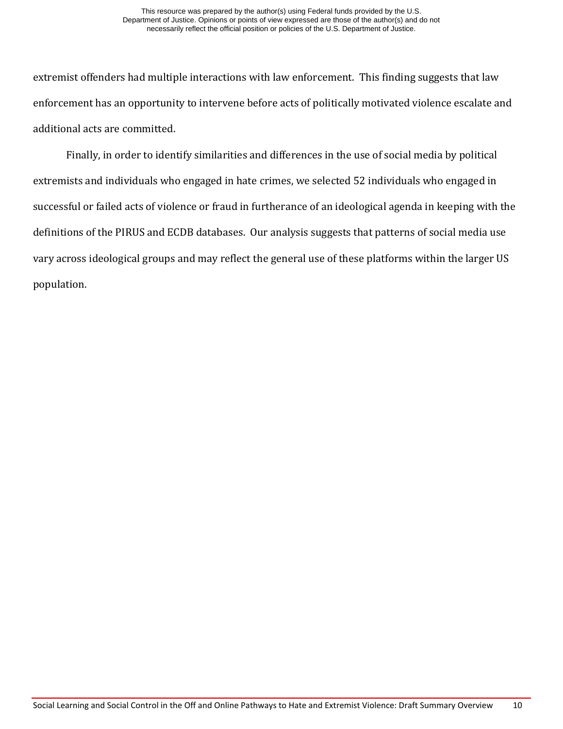extremist offenders had multiple interactions with law enforcement. This finding suggests that law enforcement has an opportunity to intervene before acts of politically motivated violence escalate and additional acts are committed.

Finally, in order to identify similarities and differences in the use of social media by political extremists and individuals who engaged in hate crimes, we selected 52 individuals who engaged in successful or failed acts of violence or fraud in furtherance of an ideological agenda in keeping with the definitions of the PIRUS and ECDB databases. Our analysis suggests that patterns of social media use vary across ideological groups and may reflect the general use of these platforms within the larger US population.